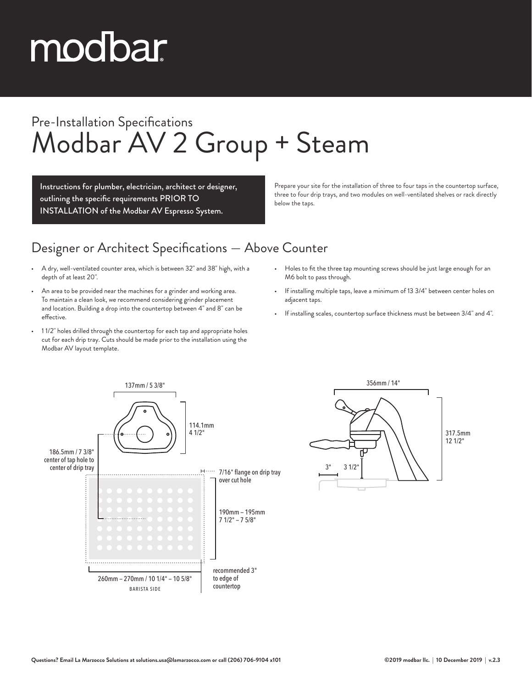# modbar

### Pre-Installation Specifications Modbar AV 2 Group + Steam

Instructions for plumber, electrician, architect or designer, outlining the specific requirements PRIOR TO INSTALLATION of the Modbar AV Espresso System.

Prepare your site for the installation of three to four taps in the countertop surface, three to four drip trays, and two modules on well-ventilated shelves or rack directly below the taps.

#### Designer or Architect Specifications — Above Counter

- A dry, well-ventilated counter area, which is between 32" and 38" high, with a depth of at least 20".
- An area to be provided near the machines for a grinder and working area. To maintain a clean look, we recommend considering grinder placement and location. Building a drop into the countertop between 4" and 8" can be effective.
- 1 1/2" holes drilled through the countertop for each tap and appropriate holes cut for each drip tray. Cuts should be made prior to the installation using the Modbar AV layout template.
- Holes to fit the three tap mounting screws should be just large enough for an M6 bolt to pass through.
- If installing multiple taps, leave a minimum of 13 3/4" between center holes on adjacent taps.
- If installing scales, countertop surface thickness must be between 3/4" and 4".



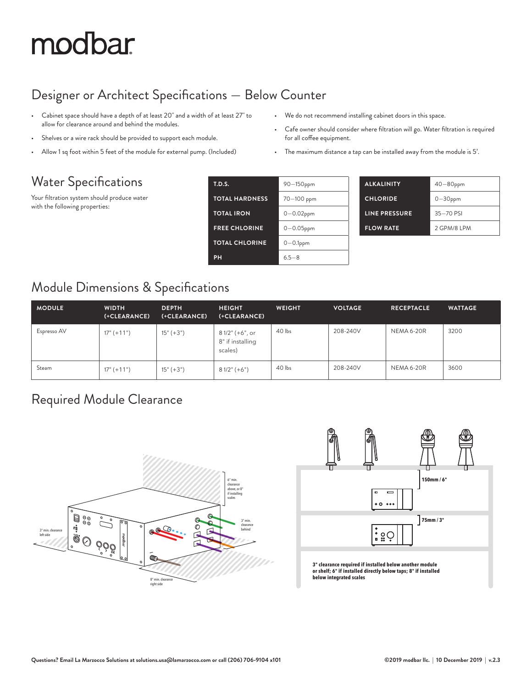## modbar

#### Designer or Architect Specifications — Below Counter

- Cabinet space should have a depth of at least 20" and a width of at least 27" to allow for clearance around and behind the modules.
- Shelves or a wire rack should be provided to support each module.
- Allow 1 sq foot within 5 feet of the module for external pump. (Included)

#### Water Specifications

Your filtration system should produce water with the following properties:

|  |  | We do not recommend installing cabinet doors in this space. |  |  |  |  |  |
|--|--|-------------------------------------------------------------|--|--|--|--|--|
|--|--|-------------------------------------------------------------|--|--|--|--|--|

- Cafe owner should consider where filtration will go. Water filtration is required for all coffee equipment.
- The maximum distance a tap can be installed away from the module is 5'.

| <b>T.D.S.</b>         | 90-150ppm      | <b>ALKALI</b> |
|-----------------------|----------------|---------------|
| <b>TOTAL HARDNESS</b> | 70-100 ppm     | <b>CHLOR</b>  |
| <b>TOTAL IRON</b>     | $0 - 0.02$ ppm | LINE PI       |
| <b>FREE CHLORINE</b>  | $0 - 0.05$ ppm | <b>FLOW</b>   |
| <b>TOTAL CHLORINE</b> | $0 - 0.1$ ppm  |               |
| PH                    | $6.5 - 8$      |               |

| <b>ALKALINITY</b> | $40 - 80$ ppm |
|-------------------|---------------|
| <b>CHLORIDE</b>   | $0 - 30$ ppm  |
| LINE PRESSURE     | 35-70 PSI     |
| <b>FLOW RATE</b>  | 2 GPM/8 IPM   |

#### Module Dimensions & Specifications

| <b>MODULE</b> | <b>WIDTH</b><br>(+CLEARANCE) | <b>DEPTH</b><br>(+CLEARANCE) | <b>HEIGHT</b><br>(+CLEARANCE)                  | <b>WEIGHT</b> | <b>VOLTAGE</b> | <b>RECEPTACLE</b> | <b>WATTAGE</b> |
|---------------|------------------------------|------------------------------|------------------------------------------------|---------------|----------------|-------------------|----------------|
| Espresso AV   | $17" (+11")$                 | $15" (+3")$                  | 8 1/2" (+6", or<br>8" if installing<br>scales) | 40 lbs        | 208-240V       | <b>NEMA 6-20R</b> | 3200           |
| Steam         | $17" (+11")$                 | $15" (+3")$                  | $81/2$ " (+6")                                 | 40 lbs        | 208-240V       | NEMA 6-20R        | 3600           |

#### Required Module Clearance





**3" clearance required if installed below another module or shelf; 6" if installed directly below taps; 8" if installed below integrated scales**